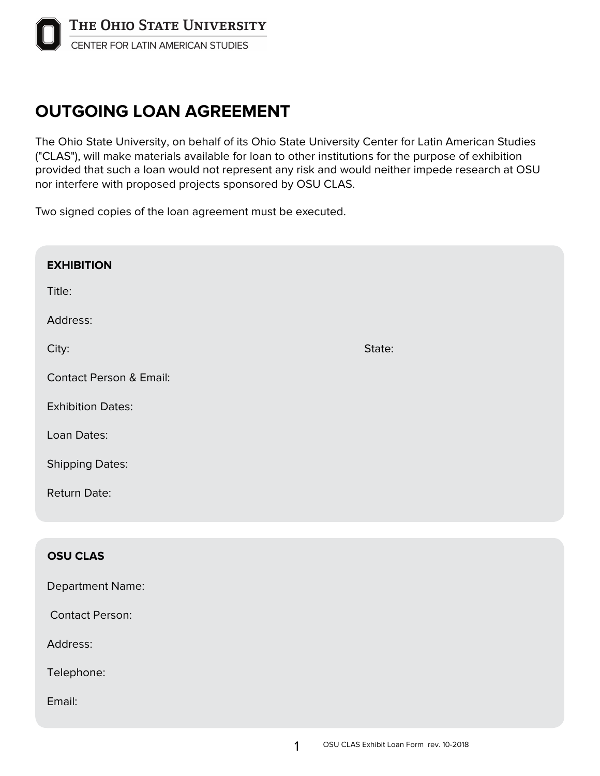# **OUTGOING LOAN AGREEMENT**

The Ohio State University, on behalf of its Ohio State University Center for Latin American Studies ("CLAS"), will make materials available for loan to other institutions for the purpose of exhibition provided that such a loan would not represent any risk and would neither impede research at OSU nor interfere with proposed projects sponsored by OSU CLAS.

Two signed copies of the loan agreement must be executed.

| <b>EXHIBITION</b>                  |        |
|------------------------------------|--------|
| Title:                             |        |
| Address:                           |        |
| City:                              | State: |
| <b>Contact Person &amp; Email:</b> |        |
| <b>Exhibition Dates:</b>           |        |
| Loan Dates:                        |        |
| <b>Shipping Dates:</b>             |        |
| Return Date:                       |        |
|                                    |        |
| <b>OSU CLAS</b>                    |        |
| <b>Department Name:</b>            |        |
| <b>Contact Person:</b>             |        |
| Address:                           |        |
| Telephone:                         |        |
| Email:                             |        |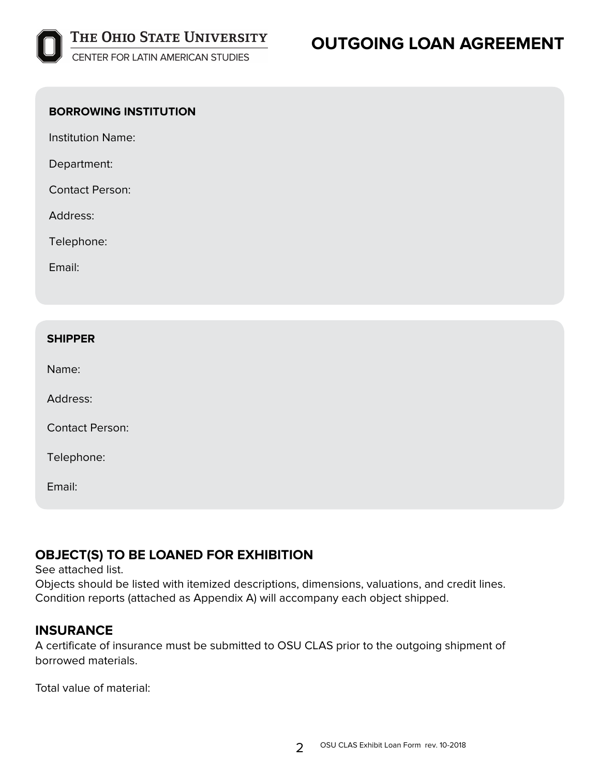THE OHIO STATE UNIVERSITY

CENTER FOR LATIN AMERICAN STUDIES

### **OUTGOING LOAN AGREEMENT**

#### **BORROWING INSTITUTION**

Institution Name:

Department:

Contact Person:

Address:

Telephone:

Email:

#### **SHIPPER**

Name:

Address:

Contact Person:

Telephone:

Email:

### **OBJECT(S) TO BE LOANED FOR EXHIBITION**

See attached list.

Objects should be listed with itemized descriptions, dimensions, valuations, and credit lines. Condition reports (attached as Appendix A) will accompany each object shipped.

### **INSURANCE**

A certificate of insurance must be submitted to OSU CLAS prior to the outgoing shipment of borrowed materials.

Total value of material: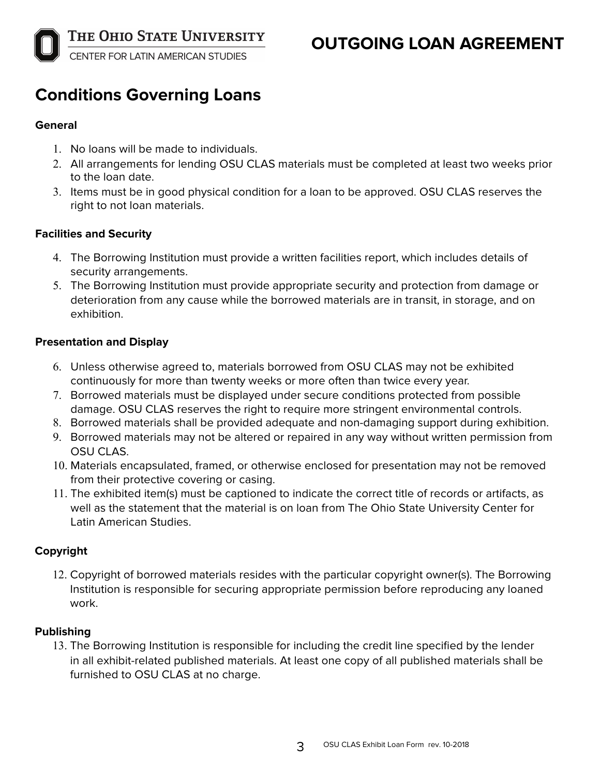

## **OUTGOING LOAN AGREEMENT**

CENTER FOR LATIN AMERICAN STUDIES

## **Conditions Governing Loans**

### **General**

- 1. No loans will be made to individuals.
- 2. All arrangements for lending OSU CLAS materials must be completed at least two weeks prior to the loan date.
- 3. Items must be in good physical condition for a loan to be approved. OSU CLAS reserves the right to not loan materials.

### **Facilities and Security**

- 4. The Borrowing Institution must provide a written facilities report, which includes details of security arrangements.
- 5. The Borrowing Institution must provide appropriate security and protection from damage or deterioration from any cause while the borrowed materials are in transit, in storage, and on exhibition.

### **Presentation and Display**

- 6. Unless otherwise agreed to, materials borrowed from OSU CLAS may not be exhibited continuously for more than twenty weeks or more often than twice every year.
- 7. Borrowed materials must be displayed under secure conditions protected from possible damage. OSU CLAS reserves the right to require more stringent environmental controls.
- 8. Borrowed materials shall be provided adequate and non-damaging support during exhibition.
- 9. Borrowed materials may not be altered or repaired in any way without written permission from OSU CLAS.
- 10. Materials encapsulated, framed, or otherwise enclosed for presentation may not be removed from their protective covering or casing.
- 11. The exhibited item(s) must be captioned to indicate the correct title of records or artifacts, as well as the statement that the material is on loan from The Ohio State University Center for Latin American Studies.

### **Copyright**

12. Copyright of borrowed materials resides with the particular copyright owner(s). The Borrowing Institution is responsible for securing appropriate permission before reproducing any loaned work.

### **Publishing**

13. The Borrowing Institution is responsible for including the credit line specified by the lender in all exhibit-related published materials. At least one copy of all published materials shall be furnished to OSU CLAS at no charge.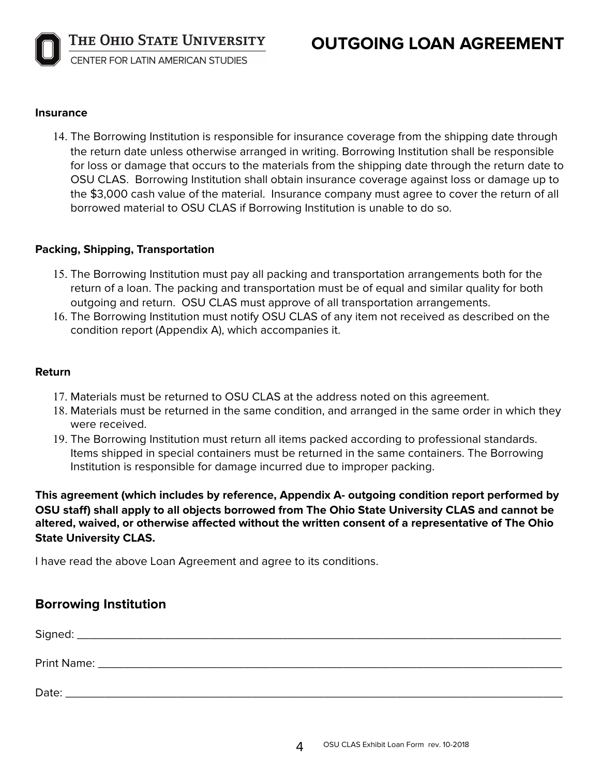The Ohio State University

CENTER FOR LATIN AMERICAN STUDIES

## **OUTGOING LOAN AGREEMENT**

#### **Insurance**

14. The Borrowing Institution is responsible for insurance coverage from the shipping date through the return date unless otherwise arranged in writing. Borrowing Institution shall be responsible for loss or damage that occurs to the materials from the shipping date through the return date to OSU CLAS. Borrowing Institution shall obtain insurance coverage against loss or damage up to the \$3,000 cash value of the material. Insurance company must agree to cover the return of all borrowed material to OSU CLAS if Borrowing Institution is unable to do so.

#### **Packing, Shipping, Transportation**

- 15. The Borrowing Institution must pay all packing and transportation arrangements both for the return of a loan. The packing and transportation must be of equal and similar quality for both outgoing and return. OSU CLAS must approve of all transportation arrangements.
- 16. The Borrowing Institution must notify OSU CLAS of any item not received as described on the condition report (Appendix A), which accompanies it.

#### **Return**

- 17. Materials must be returned to OSU CLAS at the address noted on this agreement.
- 18. Materials must be returned in the same condition, and arranged in the same order in which they were received.
- 19. The Borrowing Institution must return all items packed according to professional standards. Items shipped in special containers must be returned in the same containers. The Borrowing Institution is responsible for damage incurred due to improper packing.

**This agreement (which includes by reference, Appendix A- outgoing condition report performed by OSU staff) shall apply to all objects borrowed from The Ohio State University CLAS and cannot be altered, waived, or otherwise affected without the written consent of a representative of The Ohio State University CLAS.**

I have read the above Loan Agreement and agree to its conditions.

### **Borrowing Institution**

| Signed: _     |  |  |
|---------------|--|--|
| Print Name: _ |  |  |

Date: \_\_\_\_\_\_\_\_\_\_\_\_\_\_\_\_\_\_\_\_\_\_\_\_\_\_\_\_\_\_\_\_\_\_\_\_\_\_\_\_\_\_\_\_\_\_\_\_\_\_\_\_\_\_\_\_\_\_\_\_\_\_\_\_\_\_\_\_\_\_\_\_\_\_\_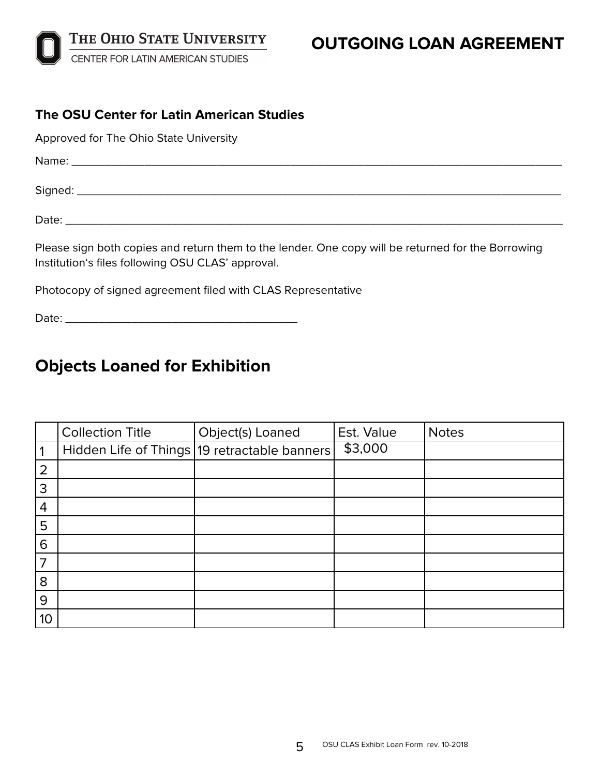THE OHIO STATE UNIVERSITY CENTER FOR LATIN AMERICAN STUDIES

### **The OSU Center for Latin American Studies**

Approved for The Ohio State University

Name: \_\_\_\_\_\_\_\_\_\_\_\_\_\_\_\_\_\_\_\_\_\_\_\_\_\_\_\_\_\_\_\_\_\_\_\_\_\_\_\_\_\_\_\_\_\_\_\_\_\_\_\_\_\_\_\_\_\_\_\_\_\_\_\_\_\_\_\_\_\_\_\_\_\_

Signed: \_\_\_\_\_\_\_\_\_\_\_\_\_\_\_\_\_\_\_\_\_\_\_\_\_\_\_\_\_\_\_\_\_\_\_\_\_\_\_\_\_\_\_\_\_\_\_\_\_\_\_\_\_\_\_\_\_\_\_\_\_\_\_\_\_\_\_\_\_\_\_\_\_

Date: \_\_\_\_\_\_\_\_\_\_\_\_\_\_\_\_\_\_\_\_\_\_\_\_\_\_\_\_\_\_\_\_\_\_\_\_\_\_\_\_\_\_\_\_\_\_\_\_\_\_\_\_\_\_\_\_\_\_\_\_\_\_\_\_\_\_\_\_\_\_\_\_\_\_\_

Please sign both copies and return them to the lender. One copy will be returned for the Borrowing Institution's files following OSU CLAS' approval.

Photocopy of signed agreement filed with CLAS Representative

Date: \_\_\_\_\_\_\_\_\_\_\_\_\_\_\_\_\_\_\_\_\_\_\_\_\_\_\_\_\_\_\_\_\_\_\_

## **Objects Loaned for Exhibition**

|                | <b>Collection Title</b> | Object(s) Loaned                               | Est. Value | <b>Notes</b> |
|----------------|-------------------------|------------------------------------------------|------------|--------------|
|                |                         | Hidden Life of Things   19 retractable banners | \$3,000    |              |
| $\overline{2}$ |                         |                                                |            |              |
| 3              |                         |                                                |            |              |
| 4              |                         |                                                |            |              |
| 5              |                         |                                                |            |              |
| 6              |                         |                                                |            |              |
| 7              |                         |                                                |            |              |
| 8              |                         |                                                |            |              |
| 9              |                         |                                                |            |              |
| 10             |                         |                                                |            |              |